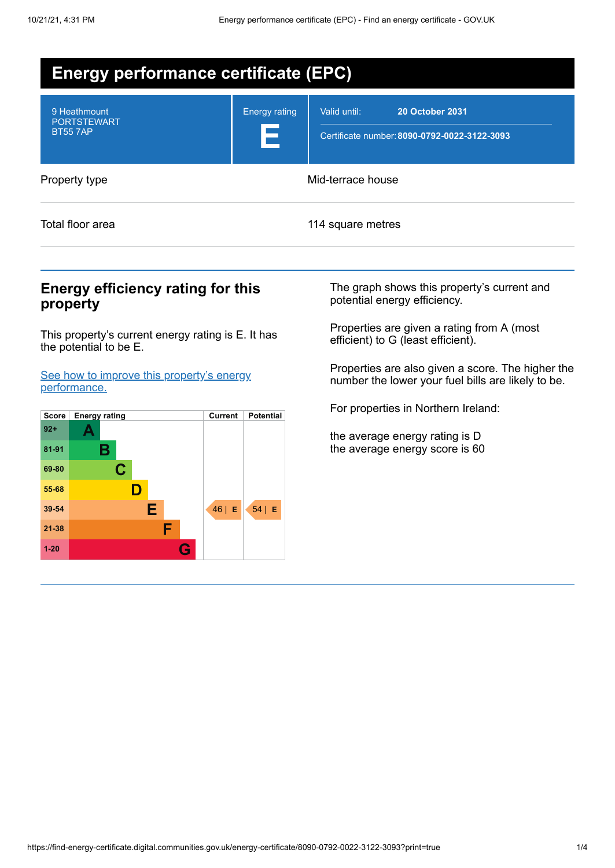| <b>Energy performance certificate (EPC)</b>          |                           |                                                                                        |  |  |
|------------------------------------------------------|---------------------------|----------------------------------------------------------------------------------------|--|--|
| 9 Heathmount<br><b>PORTSTEWART</b><br><b>BT557AP</b> | <b>Energy rating</b><br>Е | Valid until:<br><b>20 October 2031</b><br>Certificate number: 8090-0792-0022-3122-3093 |  |  |
| Property type                                        | Mid-terrace house         |                                                                                        |  |  |
| Total floor area                                     |                           | 114 square metres                                                                      |  |  |

#### **Energy efficiency rating for this property**

This property's current energy rating is E. It has the potential to be E.

See how to improve this property's energy performance.



The graph shows this property's current and potential energy efficiency.

Properties are given a rating from A (most efficient) to G (least efficient).

Properties are also given a score. The higher the number the lower your fuel bills are likely to be.

For properties in Northern Ireland:

the average energy rating is D the average energy score is 60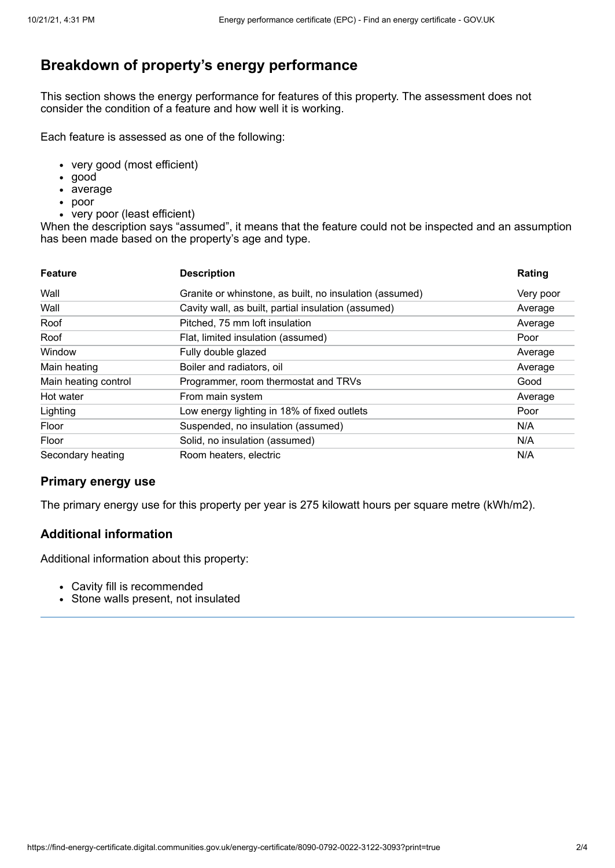## **Breakdown of property's energy performance**

This section shows the energy performance for features of this property. The assessment does not consider the condition of a feature and how well it is working.

Each feature is assessed as one of the following:

- very good (most efficient)
- good
- average
- poor
- very poor (least efficient)

When the description says "assumed", it means that the feature could not be inspected and an assumption has been made based on the property's age and type.

| <b>Feature</b>       | <b>Description</b>                                      | Rating    |
|----------------------|---------------------------------------------------------|-----------|
| Wall                 | Granite or whinstone, as built, no insulation (assumed) | Very poor |
| Wall                 | Cavity wall, as built, partial insulation (assumed)     | Average   |
| Roof                 | Pitched, 75 mm loft insulation                          | Average   |
| Roof                 | Flat, limited insulation (assumed)                      | Poor      |
| Window               | Fully double glazed                                     | Average   |
| Main heating         | Boiler and radiators, oil                               | Average   |
| Main heating control | Programmer, room thermostat and TRVs                    | Good      |
| Hot water            | From main system                                        | Average   |
| Lighting             | Low energy lighting in 18% of fixed outlets             | Poor      |
| Floor                | Suspended, no insulation (assumed)                      | N/A       |
| Floor                | Solid, no insulation (assumed)                          | N/A       |
| Secondary heating    | Room heaters, electric                                  | N/A       |

#### **Primary energy use**

The primary energy use for this property per year is 275 kilowatt hours per square metre (kWh/m2).

#### **Additional information**

Additional information about this property:

- Cavity fill is recommended
- Stone walls present, not insulated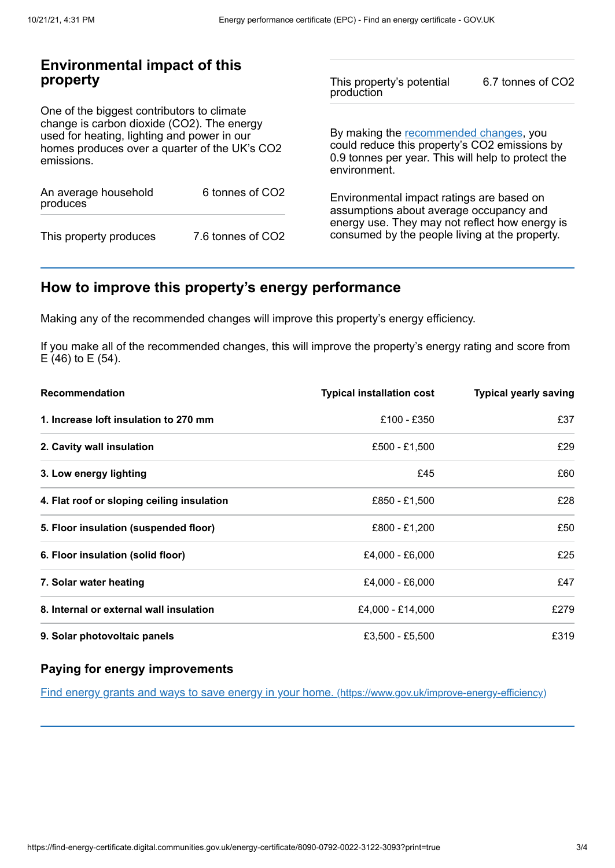#### **Environmental impact of this property**

One of the biggest contributors to climate change is carbon dioxide (CO2). The energy used for heating, lighting and power in our homes produces over a quarter of the UK's CO2 emissions.

| An average household<br>produces | 6 tonnes of CO2   |  |
|----------------------------------|-------------------|--|
| This property produces           | 7.6 tonnes of CO2 |  |

This property's potential production 6.7 tonnes of CO2

By making the recommended changes, you could reduce this property's CO2 emissions by 0.9 tonnes per year. This will help to protect the environment.

Environmental impact ratings are based on assumptions about average occupancy and energy use. They may not reflect how energy is consumed by the people living at the property.

## **How to improve this property's energy performance**

Making any of the recommended changes will improve this property's energy efficiency.

If you make all of the recommended changes, this will improve the property's energy rating and score from E (46) to E (54).

| Recommendation                             | <b>Typical installation cost</b> | <b>Typical yearly saving</b> |
|--------------------------------------------|----------------------------------|------------------------------|
| 1. Increase loft insulation to 270 mm      | £100 - £350                      | £37                          |
| 2. Cavity wall insulation                  | £500 - £1,500                    | £29                          |
| 3. Low energy lighting                     | £45                              | £60                          |
| 4. Flat roof or sloping ceiling insulation | £850 - £1,500                    | £28                          |
| 5. Floor insulation (suspended floor)      | £800 - £1,200                    | £50                          |
| 6. Floor insulation (solid floor)          | £4,000 - £6,000                  | £25                          |
| 7. Solar water heating                     | £4,000 - £6,000                  | £47                          |
| 8. Internal or external wall insulation    | £4,000 - £14,000                 | £279                         |
| 9. Solar photovoltaic panels               | £3.500 - £5.500                  | £319                         |

#### **Paying for energy improvements**

Find energy grants and ways to save energy in your home. (https://www.gov.uk/improve-energy-efficiency)